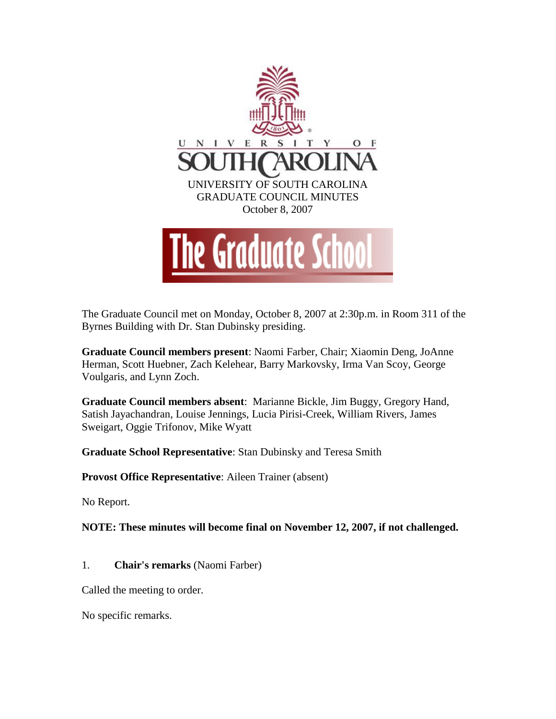

The Graduate Council met on Monday, October 8, 2007 at 2:30p.m. in Room 311 of the Byrnes Building with Dr. Stan Dubinsky presiding.

**Graduate Council members present**: Naomi Farber, Chair; Xiaomin Deng, JoAnne Herman, Scott Huebner, Zach Kelehear, Barry Markovsky, Irma Van Scoy, George Voulgaris, and Lynn Zoch.

**Graduate Council members absent**: Marianne Bickle, Jim Buggy, Gregory Hand, Satish Jayachandran, Louise Jennings, Lucia Pirisi-Creek, William Rivers, James Sweigart, Oggie Trifonov, Mike Wyatt

**Graduate School Representative**: Stan Dubinsky and Teresa Smith

**Provost Office Representative**: Aileen Trainer (absent)

No Report.

**NOTE: These minutes will become final on November 12, 2007, if not challenged.** 

1. **Chair's remarks** (Naomi Farber)

Called the meeting to order.

No specific remarks.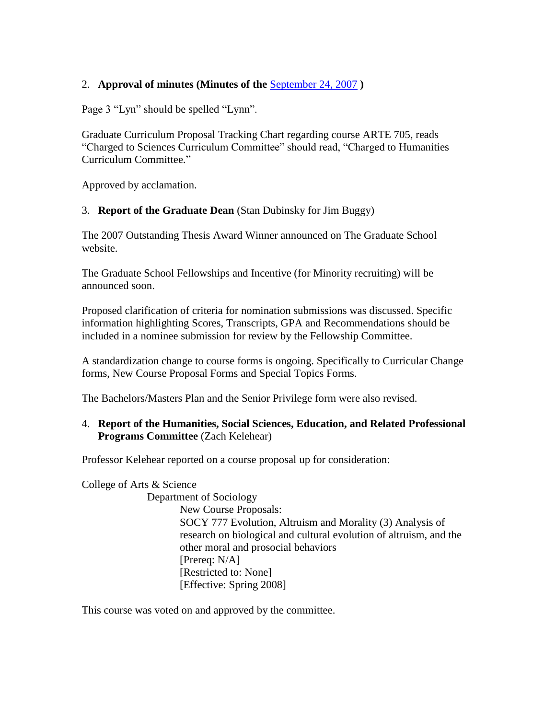## 2. **Approval of minutes (Minutes of the** [September](file:///C:\Documents%20and%20Settings\smitht\My%20Documents\GCMinutes070924.doc) 24, 2007 **)**

Page 3 "Lyn" should be spelled "Lynn".

Graduate Curriculum Proposal Tracking Chart regarding course ARTE 705, reads "Charged to Sciences Curriculum Committee" should read, "Charged to Humanities Curriculum Committee."

Approved by acclamation.

#### 3. **Report of the Graduate Dean** (Stan Dubinsky for Jim Buggy)

The 2007 Outstanding Thesis Award Winner announced on The Graduate School website.

The Graduate School Fellowships and Incentive (for Minority recruiting) will be announced soon.

Proposed clarification of criteria for nomination submissions was discussed. Specific information highlighting Scores, Transcripts, GPA and Recommendations should be included in a nominee submission for review by the Fellowship Committee.

A standardization change to course forms is ongoing. Specifically to Curricular Change forms, New Course Proposal Forms and Special Topics Forms.

The Bachelors/Masters Plan and the Senior Privilege form were also revised.

#### 4. **Report of the Humanities, Social Sciences, Education, and Related Professional Programs Committee** (Zach Kelehear)

Professor Kelehear reported on a course proposal up for consideration:

College of Arts & Science

Department of Sociology New Course Proposals: SOCY 777 Evolution, Altruism and Morality (3) Analysis of research on biological and cultural evolution of altruism, and the other moral and prosocial behaviors [Prereq: N/A] [Restricted to: None] [Effective: Spring 2008]

This course was voted on and approved by the committee.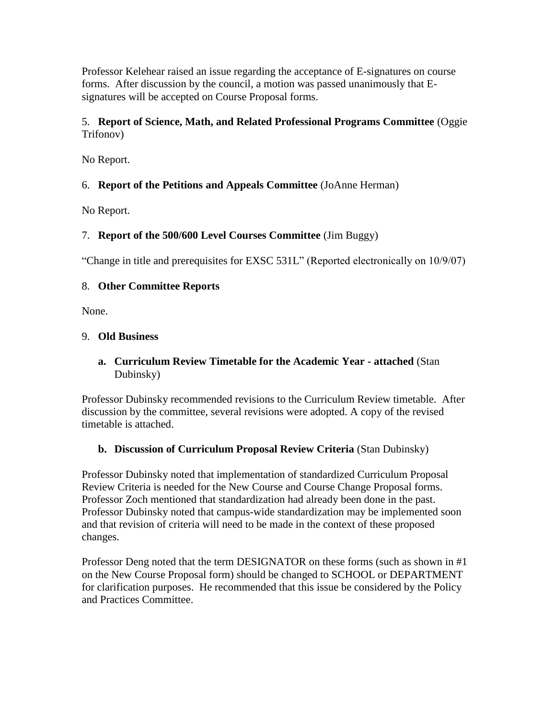Professor Kelehear raised an issue regarding the acceptance of E-signatures on course forms. After discussion by the council, a motion was passed unanimously that Esignatures will be accepted on Course Proposal forms.

# 5. **Report of Science, Math, and Related Professional Programs Committee** (Oggie Trifonov)

No Report.

# 6. **Report of the Petitions and Appeals Committee** (JoAnne Herman)

No Report.

# 7. **Report of the 500/600 Level Courses Committee** (Jim Buggy)

"Change in title and prerequisites for EXSC 531L" (Reported electronically on 10/9/07)

## 8. **Other Committee Reports**

None.

## 9. **Old Business**

# **a. Curriculum Review Timetable for the Academic Year - attached** (Stan Dubinsky)

Professor Dubinsky recommended revisions to the Curriculum Review timetable. After discussion by the committee, several revisions were adopted. A copy of the revised timetable is attached.

## **b. Discussion of Curriculum Proposal Review Criteria** (Stan Dubinsky)

Professor Dubinsky noted that implementation of standardized Curriculum Proposal Review Criteria is needed for the New Course and Course Change Proposal forms. Professor Zoch mentioned that standardization had already been done in the past. Professor Dubinsky noted that campus-wide standardization may be implemented soon and that revision of criteria will need to be made in the context of these proposed changes.

Professor Deng noted that the term DESIGNATOR on these forms (such as shown in #1 on the New Course Proposal form) should be changed to SCHOOL or DEPARTMENT for clarification purposes. He recommended that this issue be considered by the Policy and Practices Committee.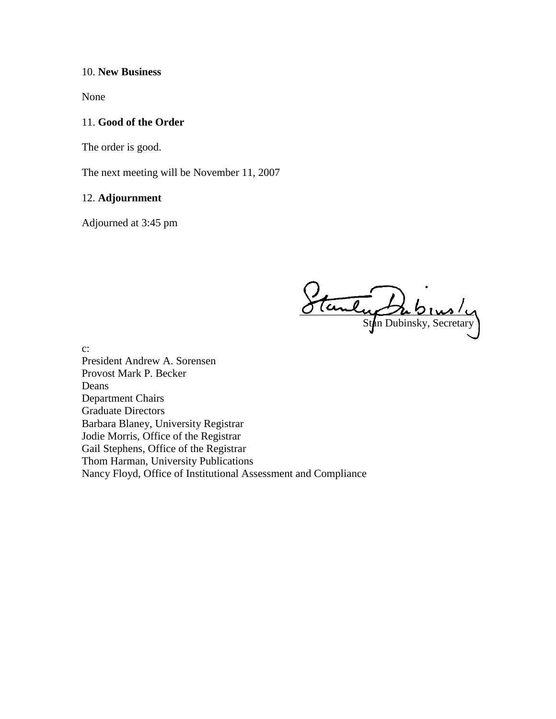#### 10. **New Business**

None

#### 11. **Good of the Order**

The order is good.

The next meeting will be November 11, 2007

## 12. **Adjournment**

Adjourned at 3:45 pm

 $O$  (unly  $\mathcal{D}_u$   $\mathcal{D}_{1}$   $\mathcal{D}_{2}$ Stan Dubinsky, Secretary

c:

President Andrew A. Sorensen Provost Mark P. Becker Deans Department Chairs Graduate Directors Barbara Blaney, University Registrar Jodie Morris, Office of the Registrar Gail Stephens, Office of the Registrar Thom Harman, University Publications Nancy Floyd, Office of Institutional Assessment and Compliance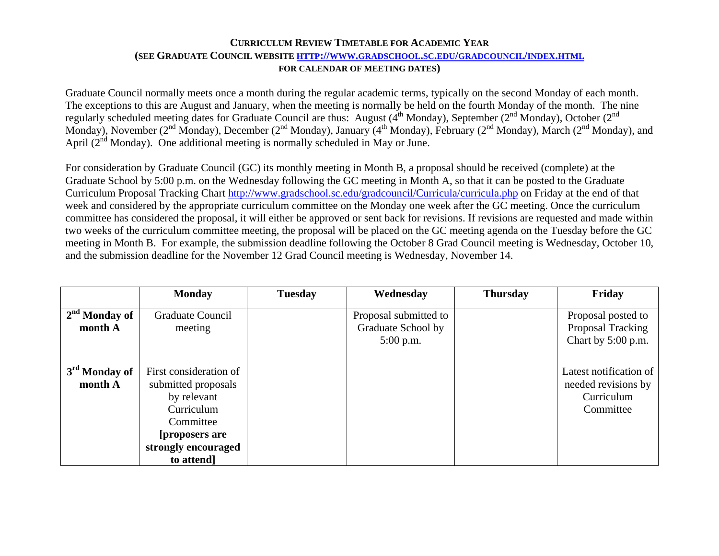#### **CURRICULUM REVIEW TIMETABLE FOR ACADEMIC YEAR(SEE GRADUATE COUNCIL WEBSITE [HTTP://WWW.GRADSCHOOL.SC.EDU/GRADCOUNCIL/INDEX.HTML](http://www.gradschool.sc.edu/gradcouncil/index.html) FOR CALENDAR OF MEETING DATES)**

Graduate Council normally meets once a month during the regular academic terms, typically on the second Monday of each month. The exceptions to this are August and January, when the meeting is normally be held on the fourth Monday of the month. The nine regularly scheduled meeting dates for Graduate Council are thus: August (4<sup>th</sup> Monday), September (2<sup>nd</sup> Monday), October (2<sup>nd</sup> Monday), November (2<sup>nd</sup> Monday), December (2<sup>nd</sup> Monday), January (4<sup>th</sup> Monday), February (2<sup>nd</sup> Monday), March (2<sup>nd</sup> Monday), and April  $(2^{nd}$  Monday). One additional meeting is normally scheduled in May or June.

For consideration by Graduate Council (GC) its monthly meeting in Month B, a proposal should be received (complete) at the Graduate School by 5:00 p.m. on the Wednesday following the GC meeting in Month A, so that it can be posted to the Graduate Curriculum Proposal Tracking Chart<http://www.gradschool.sc.edu/gradcouncil/Curricula/curricula.php>on Friday at the end of that week and considered by the appropriate curriculum committee on the Monday one week after the GC meeting. Once the curriculum committee has considered the proposal, it will either be approved or sent back for revisions. If revisions are requested and made within two weeks of the curriculum committee meeting, the proposal will be placed on the GC meeting agenda on the Tuesday before the GC meeting in Month B. For example, the submission deadline following the October 8 Grad Council meeting is Wednesday, October 10, and the submission deadline for the November 12 Grad Council meeting is Wednesday, November 14.

|                                      | <b>Monday</b>                                                                                                                                  | <b>Tuesday</b> | Wednesday                                                  | <b>Thursday</b> | Friday                                                                   |
|--------------------------------------|------------------------------------------------------------------------------------------------------------------------------------------------|----------------|------------------------------------------------------------|-----------------|--------------------------------------------------------------------------|
| $2nd$ Monday of<br>month A           | <b>Graduate Council</b><br>meeting                                                                                                             |                | Proposal submitted to<br>Graduate School by<br>$5:00$ p.m. |                 | Proposal posted to<br>Proposal Tracking<br>Chart by $5:00$ p.m.          |
| 3 <sup>rd</sup> Monday of<br>month A | First consideration of<br>submitted proposals<br>by relevant<br>Curriculum<br>Committee<br>[proposers are]<br>strongly encouraged<br>to attend |                |                                                            |                 | Latest notification of<br>needed revisions by<br>Curriculum<br>Committee |